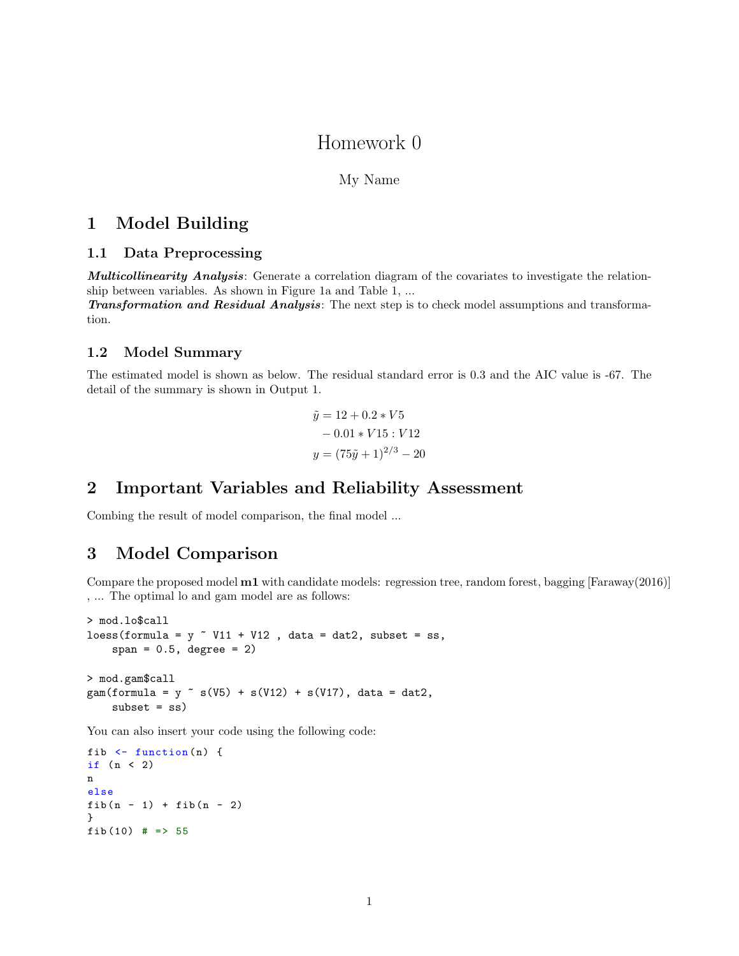# Homework 0

### My Name

## 1 Model Building

#### 1.1 Data Preprocessing

Multicollinearity Analysis: Generate a correlation diagram of the covariates to investigate the relationship between variables. As shown in Figure 1a and Table 1, ...

Transformation and Residual Analysis: The next step is to check model assumptions and transformation.

#### 1.2 Model Summary

The estimated model is shown as below. The residual standard error is 0.3 and the AIC value is -67. The detail of the summary is shown in Output 1.

$$
\tilde{y} = 12 + 0.2 * V5
$$
  
- 0.01 \* V15 : V12  

$$
y = (75\tilde{y} + 1)^{2/3} - 20
$$

## 2 Important Variables and Reliability Assessment

Combing the result of model comparison, the final model ...

# 3 Model Comparison

Compare the proposed model m1 with candidate models: regression tree, random forest, bagging [Faraway(2016)] , ... The optimal lo and gam model are as follows:

```
> mod.lo$call
loss(formula = y " V11 + V12 , data = dat2, subset = ss,span = 0.5, degree = 2)
> mod.gam$call
gam(formula = y \tilde{ } s(V5) + s(V12) + s(V17), data = dat2,
    subset = ss)
```
You can also insert your code using the following code:

```
fib \leftarrow function (n) {
if (n < 2)n
else
fib(n - 1) + fib(n - 2)}
fib(10) # => 55
```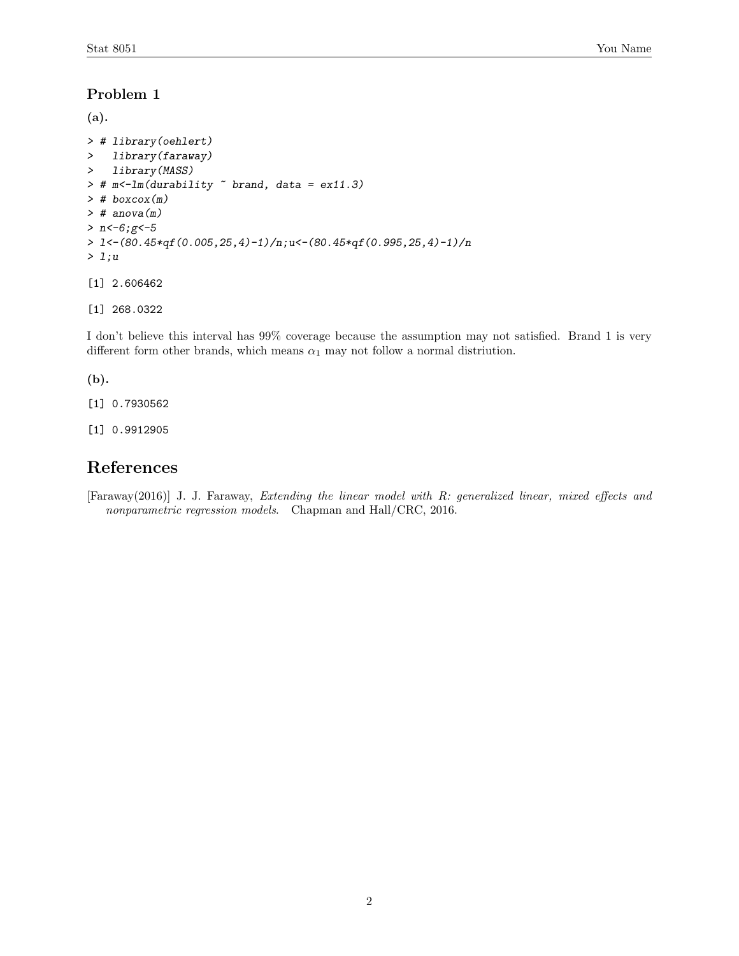### Problem 1

```
(a).
> # library(oehlert)
> library(faraway)
> library(MASS)
> # m<-lm(durability ~ brand, data = ex11.3)
> # boxcox(m)
> # anova(m)> n < -6; g < -5> l<-(80.45*qf(0.005,25,4)-1)/n;u<-(80.45*qf(0.995,25,4)-1)/n
> l;u
[1] 2.606462
[1] 268.0322
```
I don't believe this interval has 99% coverage because the assumption may not satisfied. Brand 1 is very different form other brands, which means  $\alpha_1$  may not follow a normal distriution.

#### (b).

[1] 0.7930562

[1] 0.9912905

# References

[Faraway(2016)] J. J. Faraway, Extending the linear model with R: generalized linear, mixed effects and nonparametric regression models. Chapman and Hall/CRC, 2016.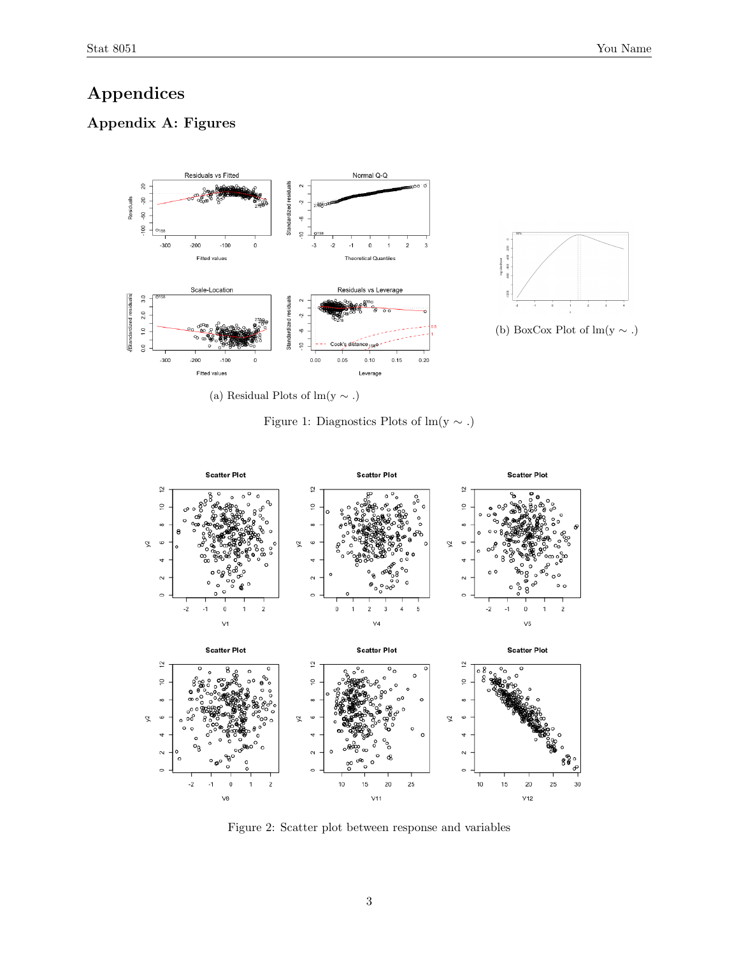# Appendices

# Appendix A: Figures



(a) Residual Plots of lm(y  $\sim$  .)

Figure 1: Diagnostics Plots of lm(y  $\sim$ .)



Figure 2: Scatter plot between response and variables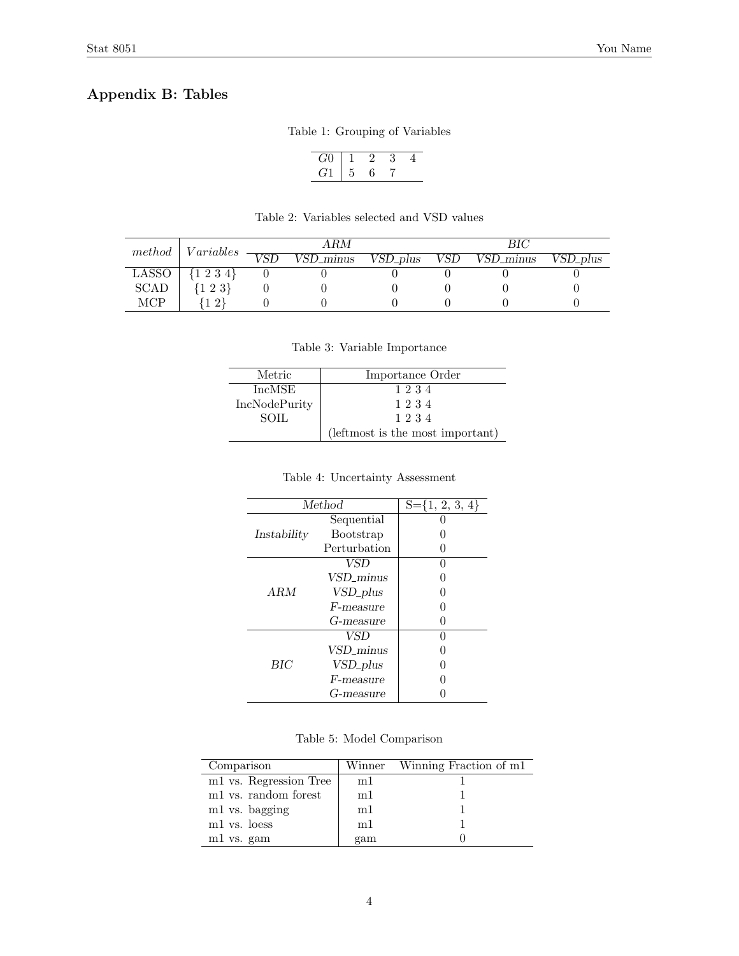# Appendix B: Tables

|  |  | Table 1: Grouping of Variables |  |  |
|--|--|--------------------------------|--|--|
|--|--|--------------------------------|--|--|

$$
\begin{array}{c|cccc}\nG0 & 1 & 2 & 3 & 4 \\
\hline\nG1 & 5 & 6 & 7\n\end{array}
$$

| method      | Variables        | ARM              |                         |            | BІC |           |          |
|-------------|------------------|------------------|-------------------------|------------|-----|-----------|----------|
|             |                  | $\overline{VSD}$ | $\overline{VSD\_minus}$ | $VSD-plus$ | VSD | VSD_minus | VSD_plus |
| LASSO       | $\{1\;2\;3\;4\}$ |                  |                         |            |     |           |          |
| <b>SCAD</b> | $\{1\;2\;3\}$    |                  |                         |            |     |           |          |
| MCP         | $\Omega$         |                  |                         |            |     |           |          |

Table 2: Variables selected and VSD values

### Table 3: Variable Importance

| Metric               | Importance Order                 |
|----------------------|----------------------------------|
| IncMSE               | 1234                             |
| <b>IncNodePurity</b> | 1234                             |
| <b>SOIL</b>          | 1234                             |
|                      | (leftmost is the most important) |

#### Table 4: Uncertainty Assessment

| Method      |                      | $S = \{1, 2, 3, 4\}$ |
|-------------|----------------------|----------------------|
|             | Sequential           |                      |
| Instability | <b>Bootstrap</b>     |                      |
|             | Perturbation         |                      |
|             | VSD                  |                      |
|             | VSD minus            |                      |
| A R.M       | VSD_plus             |                      |
|             | F-measure            |                      |
|             | G-measure            |                      |
| BIC         | <b>VSD</b>           |                      |
|             | VSD_minus            |                      |
|             | VSD <sub>-plus</sub> |                      |
|             | F-measure            |                      |
|             | G-measure            |                      |

Table 5: Model Comparison

| Comparison             |     | Winner Winning Fraction of m1 |
|------------------------|-----|-------------------------------|
| m1 vs. Regression Tree | m1  |                               |
| m1 vs. random forest   | m1  |                               |
| m1 vs. bagging         | m1  |                               |
| m1 vs. loess           | m1  |                               |
| m1 vs. gam             | gam |                               |